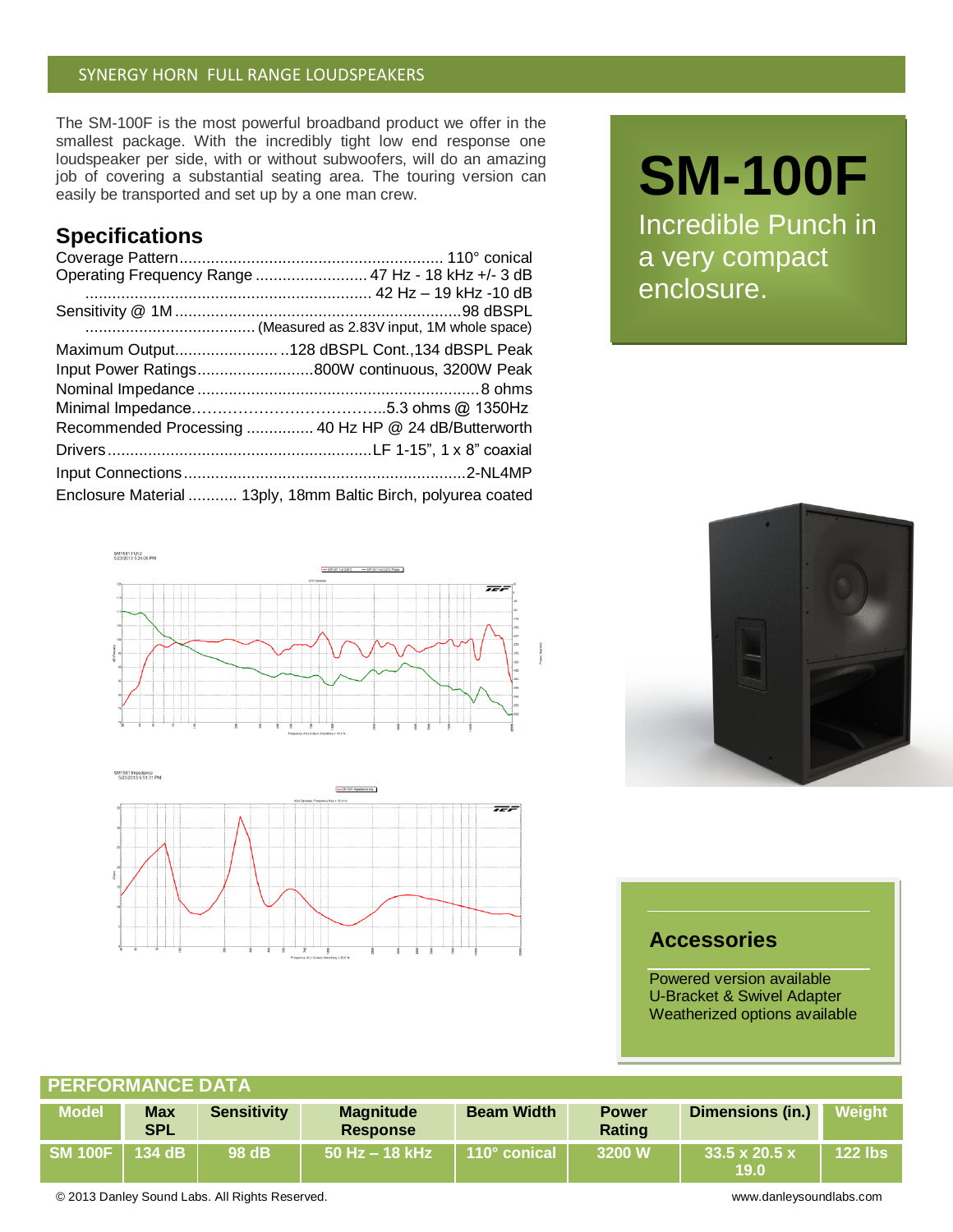### SYNERGY HORN FULL RANGE LOUDSPEAKERS

The SM-100F is the most powerful broadband product we offer in the smallest package. With the incredibly tight low end response one loudspeaker per side, with or without subwoofers, will do an amazing job of covering a substantial seating area. The touring version can easily be transported and set up by a one man crew.

## **Specifications**

| Operating Frequency Range  47 Hz - 18 kHz +/- 3 dB            |
|---------------------------------------------------------------|
|                                                               |
|                                                               |
|                                                               |
| Maximum Output128 dBSPL Cont.,134 dBSPL Peak                  |
| Input Power Ratings800W continuous, 3200W Peak                |
|                                                               |
|                                                               |
| Recommended Processing  40 Hz HP @ 24 dB/Butterworth          |
|                                                               |
|                                                               |
| Enclosure Material  13ply, 18mm Baltic Birch, polyurea coated |





# **SM-100F**

Incredible Punch in a very compact enclosure.



## **Accessories**

Powered version available U-Bracket & Swivel Adapter Weatherized options available

| <b>PERFORMANCE DATA</b> |                          |                    |                                     |                   |                        |                                          |           |  |  |
|-------------------------|--------------------------|--------------------|-------------------------------------|-------------------|------------------------|------------------------------------------|-----------|--|--|
| <b>Model</b>            | <b>Max</b><br><b>SPL</b> | <b>Sensitivity</b> | <b>Magnitude</b><br><b>Response</b> | <b>Beam Width</b> | <b>Power</b><br>Rating | <b>Dimensions (in.)</b>                  | Weight    |  |  |
|                         | 134 dB                   | 98 dB              | ∣ 50 Hz – 18 kHz ˈ                  | 110° conical      | 3200 W                 | $33.5 \times 20.5 \times$<br><b>19.0</b> | $122$ lbs |  |  |